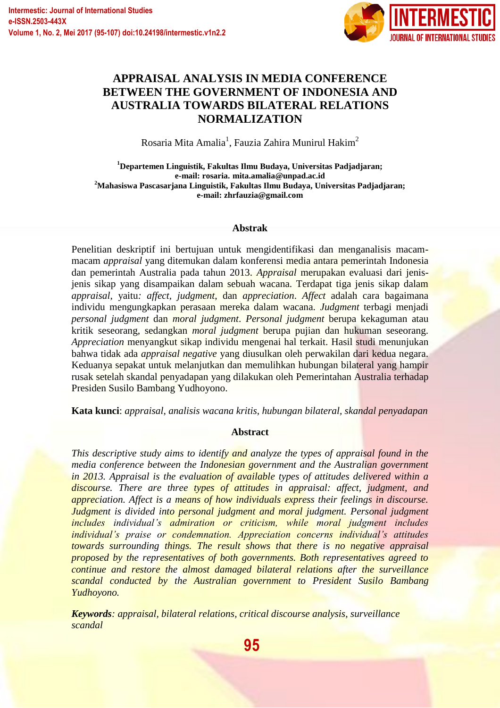

# **APPRAISAL ANALYSIS IN MEDIA CONFERENCE BETWEEN THE GOVERNMENT OF INDONESIA AND AUSTRALIA TOWARDS BILATERAL RELATIONS NORMALIZATION**

Rosaria Mita Amalia $^{\rm l}$ , Fauzia Zahira Munirul Hakim $^{\rm 2}$ 

**<sup>1</sup>Departemen Linguistik, Fakultas Ilmu Budaya, Universitas Padjadjaran; e-mail: rosaria. mita.amalia@unpad.ac.id <sup>2</sup>Mahasiswa Pascasarjana Linguistik, Fakultas Ilmu Budaya, Universitas Padjadjaran; e-mail: zhrfauzia@gmail.com**

### **Abstrak**

Penelitian deskriptif ini bertujuan untuk mengidentifikasi dan menganalisis macammacam *appraisal* yang ditemukan dalam konferensi media antara pemerintah Indonesia dan pemerintah Australia pada tahun 2013. *Appraisal* merupakan evaluasi dari jenisjenis sikap yang disampaikan dalam sebuah wacana. Terdapat tiga jenis sikap dalam *appraisal,* yaitu*: affect, judgment*, dan *appreciation*. *Affect* adalah cara bagaimana individu mengungkapkan perasaan mereka dalam wacana. *Judgment* terbagi menjadi *personal judgment* dan *moral judgment*. *Personal judgment* berupa kekaguman atau kritik seseorang, sedangkan *moral judgment* berupa pujian dan hukuman seseorang. *Appreciation* menyangkut sikap individu mengenai hal terkait. Hasil studi menunjukan bahwa tidak ada *appraisal negative* yang diusulkan oleh perwakilan dari kedua negara. Keduanya sepakat untuk melanjutkan dan memulihkan hubungan bilateral yang hampir rusak setelah skandal penyadapan yang dilakukan oleh Pemerintahan Australia terhadap Presiden Susilo Bambang Yudhoyono.

**Kata kunci**: *appraisal*, *analisis wacana kritis, hubungan bilateral, skandal penyadapan*

# **Abstract**

*This descriptive study aims to identify and analyze the types of appraisal found in the media conference between the Indonesian government and the Australian government in 2013. Appraisal is the evaluation of available types of attitudes delivered within a discourse. There are three types of attitudes in appraisal: affect, judgment, and appreciation. Affect is a means of how individuals express their feelings in discourse. Judgment is divided into personal judgment and moral judgment. Personal judgment includes individual's admiration or criticism, while moral judgment includes individual's praise or condemnation. Appreciation concerns individual's attitudes towards surrounding things. The result shows that there is no negative appraisal proposed by the representatives of both governments. Both representatives agreed to continue and restore the almost damaged bilateral relations after the surveillance scandal conducted by the Australian government to President Susilo Bambang Yudhoyono.*

*Keywords: appraisal, bilateral relations, critical discourse analysis, surveillance scandal*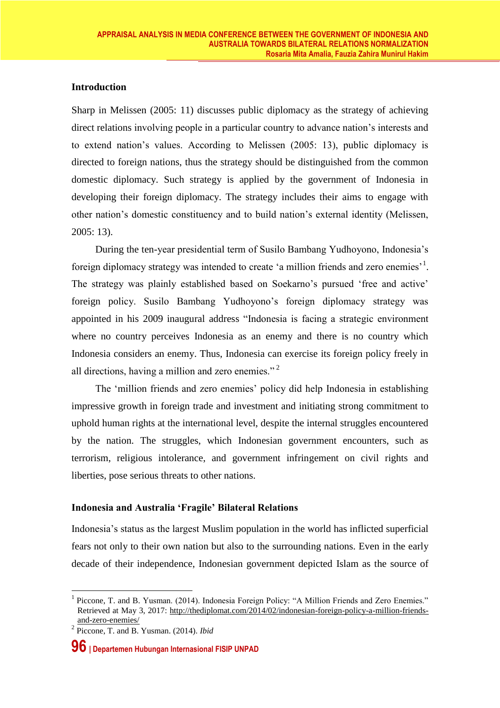# **Introduction**

Sharp in Melissen (2005: 11) discusses public diplomacy as the strategy of achieving direct relations involving people in a particular country to advance nation's interests and to extend nation's values. According to Melissen (2005: 13), public diplomacy is directed to foreign nations, thus the strategy should be distinguished from the common domestic diplomacy. Such strategy is applied by the government of Indonesia in developing their foreign diplomacy. The strategy includes their aims to engage with other nation's domestic constituency and to build nation's external identity (Melissen, 2005: 13).

During the ten-year presidential term of Susilo Bambang Yudhoyono, Indonesia's foreign diplomacy strategy was intended to create 'a million friends and zero enemies'<sup>1</sup>. The strategy was plainly established based on Soekarno's pursued 'free and active' foreign policy. Susilo Bambang Yudhoyono's foreign diplomacy strategy was appointed in his 2009 inaugural address "Indonesia is facing a strategic environment where no country perceives Indonesia as an enemy and there is no country which Indonesia considers an enemy. Thus, Indonesia can exercise its foreign policy freely in all directions, having a million and zero enemies." <sup>2</sup>

The 'million friends and zero enemies' policy did help Indonesia in establishing impressive growth in foreign trade and investment and initiating strong commitment to uphold human rights at the international level, despite the internal struggles encountered by the nation. The struggles, which Indonesian government encounters, such as terrorism, religious intolerance, and government infringement on civil rights and liberties, pose serious threats to other nations.

# **Indonesia and Australia 'Fragile' Bilateral Relations**

Indonesia's status as the largest Muslim population in the world has inflicted superficial fears not only to their own nation but also to the surrounding nations. Even in the early decade of their independence, Indonesian government depicted Islam as the source of

1

<sup>&</sup>lt;sup>1</sup> Piccone, T. and B. Yusman. (2014). Indonesia Foreign Policy: "A Million Friends and Zero Enemies." Retrieved at May 3, 2017: [http://thediplomat.com/2014/02/indonesian-foreign-policy-a-million-friends](http://thediplomat.com/2014/02/indonesian-foreign-policy-a-million-friends-and-zero-enemies/)[and-zero-enemies/](http://thediplomat.com/2014/02/indonesian-foreign-policy-a-million-friends-and-zero-enemies/)

<sup>2</sup> Piccone, T. and B. Yusman. (2014). *Ibid*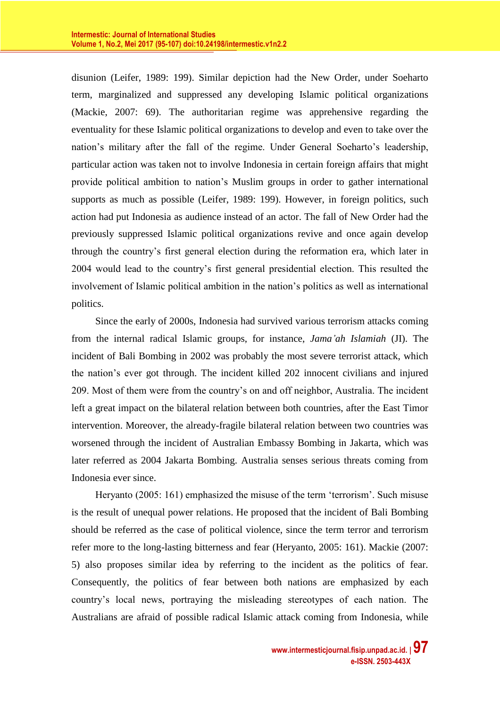disunion (Leifer, 1989: 199). Similar depiction had the New Order, under Soeharto term, marginalized and suppressed any developing Islamic political organizations (Mackie, 2007: 69). The authoritarian regime was apprehensive regarding the eventuality for these Islamic political organizations to develop and even to take over the nation's military after the fall of the regime. Under General Soeharto's leadership, particular action was taken not to involve Indonesia in certain foreign affairs that might provide political ambition to nation's Muslim groups in order to gather international supports as much as possible (Leifer, 1989: 199). However, in foreign politics, such action had put Indonesia as audience instead of an actor. The fall of New Order had the previously suppressed Islamic political organizations revive and once again develop through the country's first general election during the reformation era, which later in 2004 would lead to the country's first general presidential election. This resulted the involvement of Islamic political ambition in the nation's politics as well as international politics.

Since the early of 2000s, Indonesia had survived various terrorism attacks coming from the internal radical Islamic groups, for instance, *Jama'ah Islamiah* (JI). The incident of Bali Bombing in 2002 was probably the most severe terrorist attack, which the nation's ever got through. The incident killed 202 innocent civilians and injured 209. Most of them were from the country's on and off neighbor, Australia. The incident left a great impact on the bilateral relation between both countries, after the East Timor intervention. Moreover, the already-fragile bilateral relation between two countries was worsened through the incident of Australian Embassy Bombing in Jakarta, which was later referred as 2004 Jakarta Bombing. Australia senses serious threats coming from Indonesia ever since.

Heryanto (2005: 161) emphasized the misuse of the term 'terrorism'. Such misuse is the result of unequal power relations. He proposed that the incident of Bali Bombing should be referred as the case of political violence, since the term terror and terrorism refer more to the long-lasting bitterness and fear (Heryanto, 2005: 161). Mackie (2007: 5) also proposes similar idea by referring to the incident as the politics of fear. Consequently, the politics of fear between both nations are emphasized by each country's local news, portraying the misleading stereotypes of each nation. The Australians are afraid of possible radical Islamic attack coming from Indonesia, while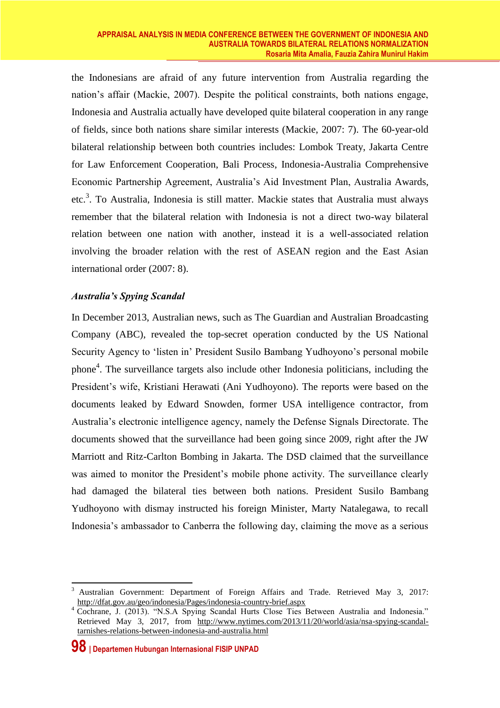the Indonesians are afraid of any future intervention from Australia regarding the nation's affair (Mackie, 2007). Despite the political constraints, both nations engage, Indonesia and Australia actually have developed quite bilateral cooperation in any range of fields, since both nations share similar interests (Mackie, 2007: 7). The 60-year-old bilateral relationship between both countries includes: Lombok Treaty, Jakarta Centre for Law Enforcement Cooperation, Bali Process, Indonesia-Australia Comprehensive Economic Partnership Agreement, Australia's Aid Investment Plan, Australia Awards, etc. 3 . To Australia, Indonesia is still matter. Mackie states that Australia must always remember that the bilateral relation with Indonesia is not a direct two-way bilateral relation between one nation with another, instead it is a well-associated relation involving the broader relation with the rest of ASEAN region and the East Asian international order (2007: 8).

# *Australia's Spying Scandal*

In December 2013, Australian news, such as The Guardian and Australian Broadcasting Company (ABC), revealed the top-secret operation conducted by the US National Security Agency to 'listen in' President Susilo Bambang Yudhoyono's personal mobile phone<sup>4</sup>. The surveillance targets also include other Indonesia politicians, including the President's wife, Kristiani Herawati (Ani Yudhoyono). The reports were based on the documents leaked by Edward Snowden, former USA intelligence contractor, from Australia's electronic intelligence agency, namely the Defense Signals Directorate. The documents showed that the surveillance had been going since 2009, right after the JW Marriott and Ritz-Carlton Bombing in Jakarta. The DSD claimed that the surveillance was aimed to monitor the President's mobile phone activity. The surveillance clearly had damaged the bilateral ties between both nations. President Susilo Bambang Yudhoyono with dismay instructed his foreign Minister, Marty Natalegawa, to recall Indonesia's ambassador to Canberra the following day, claiming the move as a serious

1

<sup>3</sup> Australian Government: Department of Foreign Affairs and Trade. Retrieved May 3, 2017: <http://dfat.gov.au/geo/indonesia/Pages/indonesia-country-brief.aspx>

<sup>&</sup>lt;sup>4</sup> Cochrane, J. (2013). "N.S.A Spying Scandal Hurts Close Ties Between Australia and Indonesia." Retrieved May 3, 2017, from [http://www.nytimes.com/2013/11/20/world/asia/nsa-spying-scandal](http://www.nytimes.com/2013/11/20/world/asia/nsa-spying-scandal-tarnishes-relations-between-indonesia-and-australia.html)[tarnishes-relations-between-indonesia-and-australia.html](http://www.nytimes.com/2013/11/20/world/asia/nsa-spying-scandal-tarnishes-relations-between-indonesia-and-australia.html)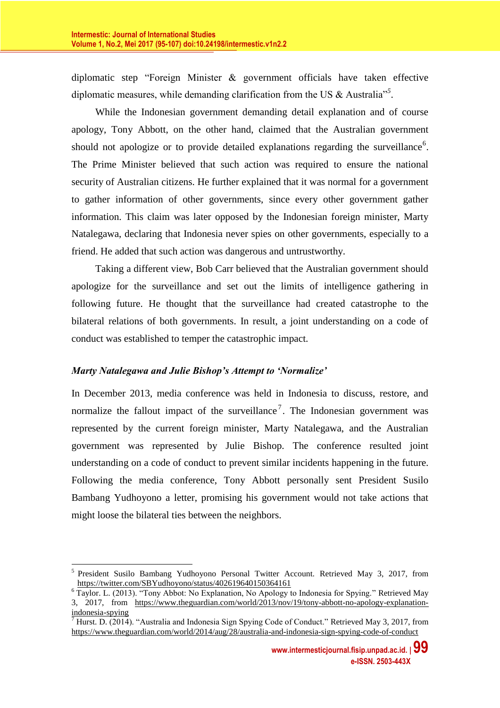diplomatic step "Foreign Minister & government officials have taken effective diplomatic measures, while demanding clarification from the US & Australia"*<sup>5</sup>* .

While the Indonesian government demanding detail explanation and of course apology, Tony Abbott, on the other hand, claimed that the Australian government should not apologize or to provide detailed explanations regarding the surveillance<sup>6</sup>. The Prime Minister believed that such action was required to ensure the national security of Australian citizens. He further explained that it was normal for a government to gather information of other governments, since every other government gather information. This claim was later opposed by the Indonesian foreign minister, Marty Natalegawa, declaring that Indonesia never spies on other governments, especially to a friend. He added that such action was dangerous and untrustworthy.

Taking a different view, Bob Carr believed that the Australian government should apologize for the surveillance and set out the limits of intelligence gathering in following future. He thought that the surveillance had created catastrophe to the bilateral relations of both governments. In result, a joint understanding on a code of conduct was established to temper the catastrophic impact.

# *Marty Natalegawa and Julie Bishop's Attempt to 'Normalize'*

In December 2013, media conference was held in Indonesia to discuss, restore, and normalize the fallout impact of the surveillance<sup>7</sup>. The Indonesian government was represented by the current foreign minister, Marty Natalegawa, and the Australian government was represented by Julie Bishop. The conference resulted joint understanding on a code of conduct to prevent similar incidents happening in the future. Following the media conference, Tony Abbott personally sent President Susilo Bambang Yudhoyono a letter, promising his government would not take actions that might loose the bilateral ties between the neighbors.

<sup>&</sup>lt;u>.</u> <sup>5</sup> President Susilo Bambang Yudhoyono Personal Twitter Account. Retrieved May 3, 2017, from <https://twitter.com/SBYudhoyono/status/402619640150364161>

<sup>&</sup>lt;sup>6</sup> Taylor. L. (2013). "Tony Abbot: No Explanation, No Apology to Indonesia for Spying." Retrieved May 3, 2017, from [https://www.theguardian.com/world/2013/nov/19/tony-abbott-no-apology-explanation](https://www.theguardian.com/world/2013/nov/19/tony-abbott-no-apology-explanation-indonesia-spying)[indonesia-spying](https://www.theguardian.com/world/2013/nov/19/tony-abbott-no-apology-explanation-indonesia-spying)

<sup>7</sup> Hurst. D. (2014). "Australia and Indonesia Sign Spying Code of Conduct." Retrieved May 3, 2017, from <https://www.theguardian.com/world/2014/aug/28/australia-and-indonesia-sign-spying-code-of-conduct>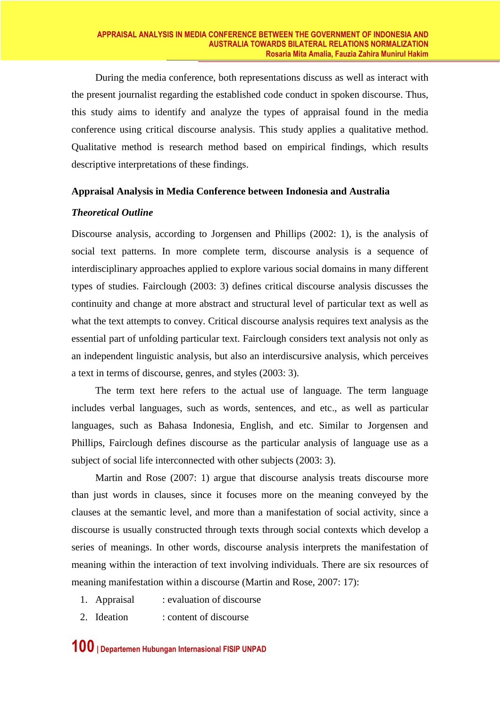During the media conference, both representations discuss as well as interact with the present journalist regarding the established code conduct in spoken discourse. Thus, this study aims to identify and analyze the types of appraisal found in the media conference using critical discourse analysis. This study applies a qualitative method. Qualitative method is research method based on empirical findings, which results descriptive interpretations of these findings.

### **Appraisal Analysis in Media Conference between Indonesia and Australia**

### *Theoretical Outline*

Discourse analysis, according to Jorgensen and Phillips (2002: 1), is the analysis of social text patterns. In more complete term, discourse analysis is a sequence of interdisciplinary approaches applied to explore various social domains in many different types of studies. Fairclough (2003: 3) defines critical discourse analysis discusses the continuity and change at more abstract and structural level of particular text as well as what the text attempts to convey. Critical discourse analysis requires text analysis as the essential part of unfolding particular text. Fairclough considers text analysis not only as an independent linguistic analysis, but also an interdiscursive analysis, which perceives a text in terms of discourse, genres, and styles (2003: 3).

The term text here refers to the actual use of language. The term language includes verbal languages, such as words, sentences, and etc., as well as particular languages, such as Bahasa Indonesia, English, and etc. Similar to Jorgensen and Phillips, Fairclough defines discourse as the particular analysis of language use as a subject of social life interconnected with other subjects (2003: 3).

Martin and Rose (2007: 1) argue that discourse analysis treats discourse more than just words in clauses, since it focuses more on the meaning conveyed by the clauses at the semantic level, and more than a manifestation of social activity, since a discourse is usually constructed through texts through social contexts which develop a series of meanings. In other words, discourse analysis interprets the manifestation of meaning within the interaction of text involving individuals. There are six resources of meaning manifestation within a discourse (Martin and Rose, 2007: 17):

- 1. Appraisal : evaluation of discourse
- 2. Ideation : content of discourse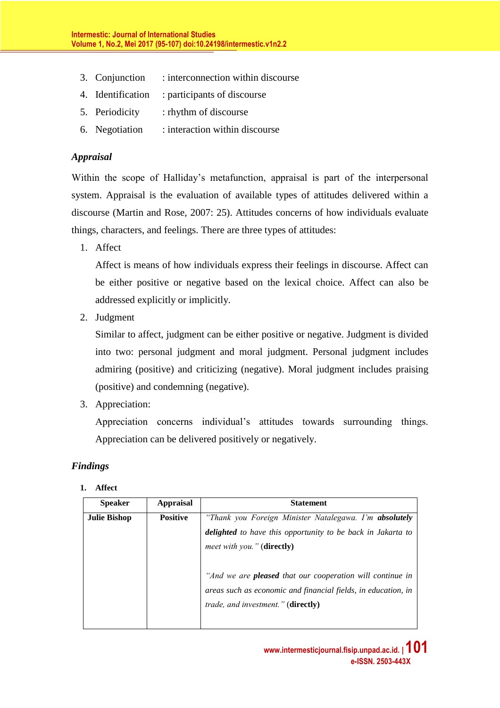- 3. Conjunction : interconnection within discourse
- 4. Identification : participants of discourse
- 5. Periodicity : rhythm of discourse
- 6. Negotiation : interaction within discourse

# *Appraisal*

Within the scope of Halliday's metafunction, appraisal is part of the interpersonal system. Appraisal is the evaluation of available types of attitudes delivered within a discourse (Martin and Rose, 2007: 25). Attitudes concerns of how individuals evaluate things, characters, and feelings. There are three types of attitudes:

1. Affect

Affect is means of how individuals express their feelings in discourse. Affect can be either positive or negative based on the lexical choice. Affect can also be addressed explicitly or implicitly.

2. Judgment

Similar to affect, judgment can be either positive or negative. Judgment is divided into two: personal judgment and moral judgment. Personal judgment includes admiring (positive) and criticizing (negative). Moral judgment includes praising (positive) and condemning (negative).

3. Appreciation:

Appreciation concerns individual's attitudes towards surrounding things. Appreciation can be delivered positively or negatively.

# *Findings*

#### **1. Affect**

| <b>Speaker</b>      | <b>Appraisal</b> | <b>Statement</b>                                                                                                                                                        |
|---------------------|------------------|-------------------------------------------------------------------------------------------------------------------------------------------------------------------------|
| <b>Julie Bishop</b> | <b>Positive</b>  | "Thank you Foreign Minister Natalegawa. I'm absolutely<br>delighted to have this opportunity to be back in Jakarta to<br><i>meet with you.</i> " (directly)             |
|                     |                  | "And we are <b>pleased</b> that our cooperation will continue in<br>areas such as economic and financial fields, in education, in<br>trade, and investment." (directly) |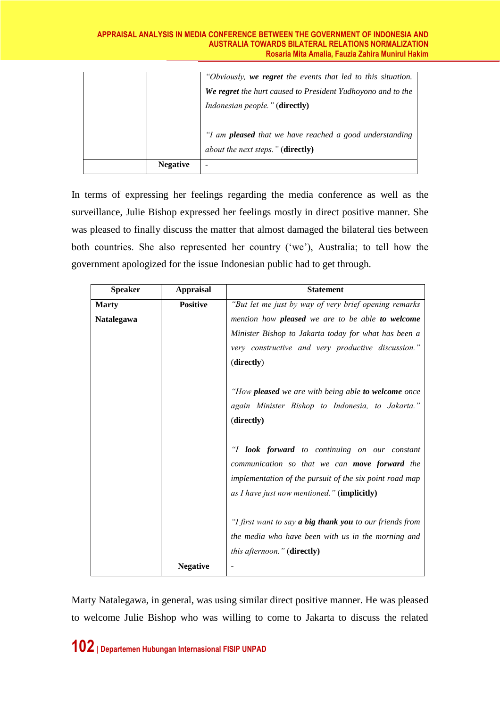|                 | "Obviously, we regret the events that led to this situation.<br>We regret the hurt caused to President Yudhoyono and to the<br><i>Indonesian people.</i> " ( <b>directly</b> ) |
|-----------------|--------------------------------------------------------------------------------------------------------------------------------------------------------------------------------|
| <b>Negative</b> | "I am <b>pleased</b> that we have reached a good understanding<br><i>about the next steps.</i> " ( <b>directly</b> )                                                           |

In terms of expressing her feelings regarding the media conference as well as the surveillance, Julie Bishop expressed her feelings mostly in direct positive manner. She was pleased to finally discuss the matter that almost damaged the bilateral ties between both countries. She also represented her country ('we'), Australia; to tell how the government apologized for the issue Indonesian public had to get through.

| <b>Speaker</b> | <b>Appraisal</b> | <b>Statement</b>                                                                                                                                                                                                       |
|----------------|------------------|------------------------------------------------------------------------------------------------------------------------------------------------------------------------------------------------------------------------|
| <b>Marty</b>   | <b>Positive</b>  | "But let me just by way of very brief opening remarks"                                                                                                                                                                 |
| Natalegawa     |                  | mention how pleased we are to be able to welcome                                                                                                                                                                       |
|                |                  | Minister Bishop to Jakarta today for what has been a                                                                                                                                                                   |
|                |                  | very constructive and very productive discussion."                                                                                                                                                                     |
|                |                  | (directly)                                                                                                                                                                                                             |
|                |                  | "How <b>pleased</b> we are with being able to welcome once<br>again Minister Bishop to Indonesia, to Jakarta."<br>(directly)                                                                                           |
|                |                  | "I <b>look forward</b> to continuing on our constant<br>communication so that we can <b>move forward</b> the<br>implementation of the pursuit of the six point road map<br>as I have just now mentioned." (implicitly) |
|                |                  | "I first want to say <b>a big thank you</b> to our friends from<br>the media who have been with us in the morning and<br>this afternoon." (directly)                                                                   |
|                | <b>Negative</b>  | $\blacksquare$                                                                                                                                                                                                         |

Marty Natalegawa, in general, was using similar direct positive manner. He was pleased to welcome Julie Bishop who was willing to come to Jakarta to discuss the related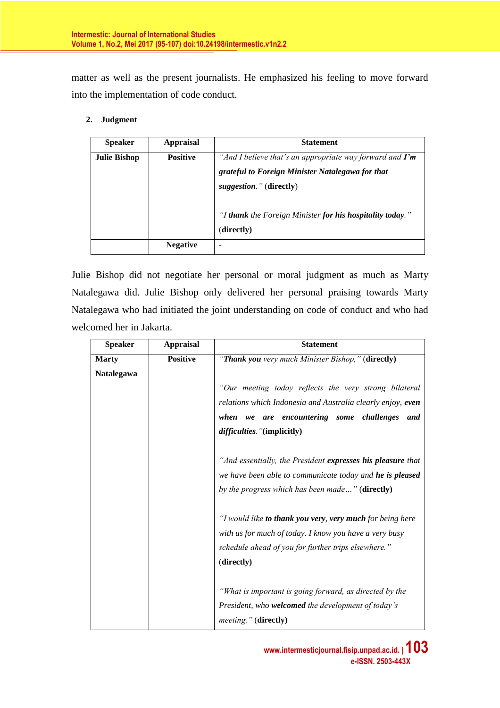matter as well as the present journalists. He emphasized his feeling to move forward into the implementation of code conduct.

#### **2. Judgment**

| <b>Speaker</b>      | <b>Appraisal</b> | <b>Statement</b>                                                                                                                                       |
|---------------------|------------------|--------------------------------------------------------------------------------------------------------------------------------------------------------|
| <b>Julie Bishop</b> | <b>Positive</b>  | "And I believe that's an appropriate way forward and $\Gamma m$<br>grateful to Foreign Minister Natalegawa for that<br><i>suggestion.</i> " (directly) |
|                     |                  | "I thank the Foreign Minister for his hospitality today."<br>(directly)                                                                                |
|                     | <b>Negative</b>  |                                                                                                                                                        |

Julie Bishop did not negotiate her personal or moral judgment as much as Marty Natalegawa did. Julie Bishop only delivered her personal praising towards Marty Natalegawa who had initiated the joint understanding on code of conduct and who had welcomed her in Jakarta.

| <b>Speaker</b> | <b>Appraisal</b> | <b>Statement</b>                                            |
|----------------|------------------|-------------------------------------------------------------|
| <b>Marty</b>   | <b>Positive</b>  | "Thank you very much Minister Bishop," (directly)           |
| Natalegawa     |                  |                                                             |
|                |                  | "Our meeting today reflects the very strong bilateral       |
|                |                  | relations which Indonesia and Australia clearly enjoy, even |
|                |                  | we are encountering some challenges<br>when<br>and          |
|                |                  | difficulties. "(implicitly)                                 |
|                |                  | "And essentially, the President expresses his pleasure that |
|                |                  | we have been able to communicate today and he is pleased    |
|                |                  | by the progress which has been made" (directly)             |
|                |                  | "I would like to thank you very, very much for being here   |
|                |                  | with us for much of today. I know you have a very busy      |
|                |                  | schedule ahead of you for further trips elsewhere."         |
|                |                  | (directly)                                                  |
|                |                  | "What is important is going forward, as directed by the     |
|                |                  | President, who welcomed the development of today's          |
|                |                  | <i>meeting.</i> " (directly)                                |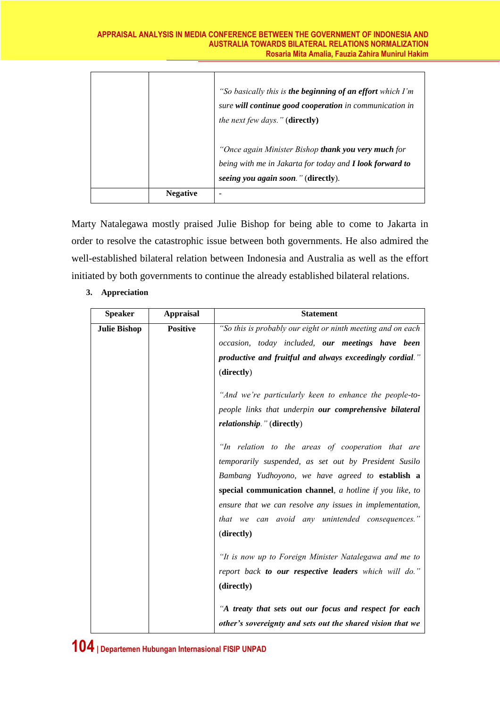#### **APPRAISAL ANALYSIS IN MEDIA CONFERENCE BETWEEN THE GOVERNMENT OF INDONESIA AND AUSTRALIA TOWARDS BILATERAL RELATIONS NORMALIZATION Rosaria Mita Amalia, Fauzia Zahira Munirul Hakim**

|                 | "So basically this is the beginning of an effort which I'm<br>sure will continue good cooperation in communication in<br><i>the next few days.</i> " ( <b>directly</b> )<br>"Once again Minister Bishop thank you very much for |
|-----------------|---------------------------------------------------------------------------------------------------------------------------------------------------------------------------------------------------------------------------------|
|                 | being with me in Jakarta for today and <b>I look forward to</b><br>seeing you again soon." (directly).                                                                                                                          |
| <b>Negative</b> |                                                                                                                                                                                                                                 |

Marty Natalegawa mostly praised Julie Bishop for being able to come to Jakarta in order to resolve the catastrophic issue between both governments. He also admired the well-established bilateral relation between Indonesia and Australia as well as the effort initiated by both governments to continue the already established bilateral relations.

| <b>Speaker</b>      | <b>Appraisal</b> | <b>Statement</b>                                                                                                                                                                                                                                                                                                                          |
|---------------------|------------------|-------------------------------------------------------------------------------------------------------------------------------------------------------------------------------------------------------------------------------------------------------------------------------------------------------------------------------------------|
| <b>Julie Bishop</b> | <b>Positive</b>  | "So this is probably our eight or ninth meeting and on each                                                                                                                                                                                                                                                                               |
|                     |                  | occasion, today included, our meetings have been                                                                                                                                                                                                                                                                                          |
|                     |                  | productive and fruitful and always exceedingly cordial."                                                                                                                                                                                                                                                                                  |
|                     |                  | (directly)                                                                                                                                                                                                                                                                                                                                |
|                     |                  | "And we're particularly keen to enhance the people-to-                                                                                                                                                                                                                                                                                    |
|                     |                  | people links that underpin our comprehensive bilateral                                                                                                                                                                                                                                                                                    |
|                     |                  | relationship." (directly)                                                                                                                                                                                                                                                                                                                 |
|                     |                  | "In relation to the areas of cooperation that are<br>temporarily suspended, as set out by President Susilo<br>Bambang Yudhoyono, we have agreed to establish a<br>special communication channel, a hotline if you like, to<br>ensure that we can resolve any issues in implementation,<br>that we can avoid any unintended consequences." |
|                     |                  | (directly)                                                                                                                                                                                                                                                                                                                                |
|                     |                  | "It is now up to Foreign Minister Natalegawa and me to<br>report back to our respective leaders which will do."<br>(directly)                                                                                                                                                                                                             |
|                     |                  | "A treaty that sets out our focus and respect for each                                                                                                                                                                                                                                                                                    |
|                     |                  | other's sovereignty and sets out the shared vision that we                                                                                                                                                                                                                                                                                |

# **3. Appreciation**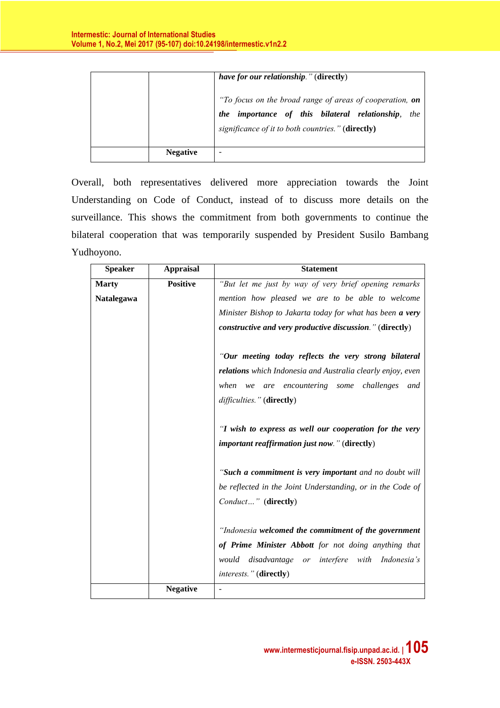|                 | <i>have for our relationship.</i> " (directly)                                                                                                                      |
|-----------------|---------------------------------------------------------------------------------------------------------------------------------------------------------------------|
|                 | "To focus on the broad range of areas of cooperation, on<br>the importance of this bilateral relationship, the<br>significance of it to both countries." (directly) |
| <b>Negative</b> |                                                                                                                                                                     |

Overall, both representatives delivered more appreciation towards the Joint Understanding on Code of Conduct, instead of to discuss more details on the surveillance. This shows the commitment from both governments to continue the bilateral cooperation that was temporarily suspended by President Susilo Bambang Yudhoyono.

| <b>Speaker</b> | <b>Appraisal</b> | <b>Statement</b>                                            |
|----------------|------------------|-------------------------------------------------------------|
| <b>Marty</b>   | <b>Positive</b>  | "But let me just by way of very brief opening remarks       |
| Natalegawa     |                  | mention how pleased we are to be able to welcome            |
|                |                  | Minister Bishop to Jakarta today for what has been a very   |
|                |                  | constructive and very productive discussion." (directly)    |
|                |                  | "Our meeting today reflects the very strong bilateral       |
|                |                  | relations which Indonesia and Australia clearly enjoy, even |
|                |                  | are encountering some challenges<br>when<br>and<br>we       |
|                |                  | difficulties." (directly)                                   |
|                |                  | "I wish to express as well our cooperation for the very     |
|                |                  | important reaffirmation just now." (directly)               |
|                |                  | "Such a commitment is very important and no doubt will      |
|                |                  | be reflected in the Joint Understanding, or in the Code of  |
|                |                  | Conduct" (directly)                                         |
|                |                  | "Indonesia welcomed the commitment of the government        |
|                |                  | of Prime Minister Abbott for not doing anything that        |
|                |                  | would disadvantage or interfere with Indonesia's            |
|                |                  | interests." (directly)                                      |
|                | <b>Negative</b>  |                                                             |
|                |                  |                                                             |

**www.intermesticjournal.fisip.unpad.ac.id. | 105 e-ISSN. 2503-443X**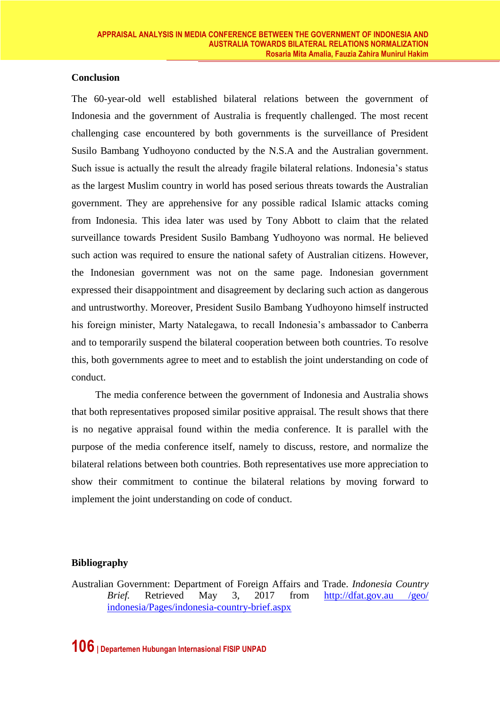### **Conclusion**

The 60-year-old well established bilateral relations between the government of Indonesia and the government of Australia is frequently challenged. The most recent challenging case encountered by both governments is the surveillance of President Susilo Bambang Yudhoyono conducted by the N.S.A and the Australian government. Such issue is actually the result the already fragile bilateral relations. Indonesia's status as the largest Muslim country in world has posed serious threats towards the Australian government. They are apprehensive for any possible radical Islamic attacks coming from Indonesia. This idea later was used by Tony Abbott to claim that the related surveillance towards President Susilo Bambang Yudhoyono was normal. He believed such action was required to ensure the national safety of Australian citizens. However, the Indonesian government was not on the same page. Indonesian government expressed their disappointment and disagreement by declaring such action as dangerous and untrustworthy. Moreover, President Susilo Bambang Yudhoyono himself instructed his foreign minister, Marty Natalegawa, to recall Indonesia's ambassador to Canberra and to temporarily suspend the bilateral cooperation between both countries. To resolve this, both governments agree to meet and to establish the joint understanding on code of conduct.

The media conference between the government of Indonesia and Australia shows that both representatives proposed similar positive appraisal. The result shows that there is no negative appraisal found within the media conference. It is parallel with the purpose of the media conference itself, namely to discuss, restore, and normalize the bilateral relations between both countries. Both representatives use more appreciation to show their commitment to continue the bilateral relations by moving forward to implement the joint understanding on code of conduct.

# **Bibliography**

Australian Government: Department of Foreign Affairs and Trade. *Indonesia Country Brief.* Retrieved May 3, 2017 from http://dfat.gov.au /geo/ indonesia/Pages/indonesia-country-brief.aspx